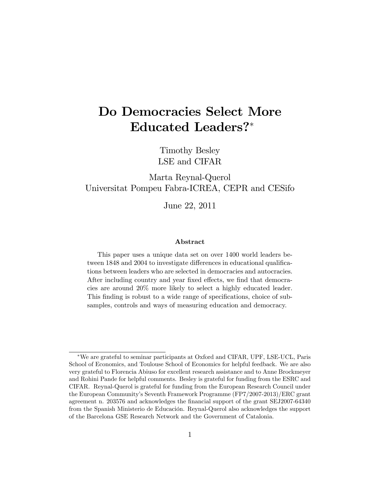# Do Democracies Select More Educated Leaders?

Timothy Besley LSE and CIFAR

Marta Reynal-Querol Universitat Pompeu Fabra-ICREA, CEPR and CESifo

June 22, 2011

#### Abstract

This paper uses a unique data set on over 1400 world leaders between 1848 and 2004 to investigate differences in educational qualifications between leaders who are selected in democracies and autocracies. After including country and year fixed effects, we find that democracies are around 20% more likely to select a highly educated leader. This finding is robust to a wide range of specifications, choice of subsamples, controls and ways of measuring education and democracy.

We are grateful to seminar participants at Oxford and CIFAR, UPF, LSE-UCL, Paris School of Economics, and Toulouse School of Economics for helpful feedback. We are also very grateful to Florencia Abiuso for excellent research assistance and to Anne Brockmeyer and Rohini Pande for helpful comments. Besley is grateful for funding from the ESRC and CIFAR. Reynal-Querol is grateful for funding from the European Research Council under the European Communityís Seventh Framework Programme (FP7/2007-2013)/ERC grant agreement n. 203576 and acknowledges the Önancial support of the grant SEJ2007-64340 from the Spanish Ministerio de Educación. Reynal-Querol also acknowledges the support of the Barcelona GSE Research Network and the Government of Catalonia.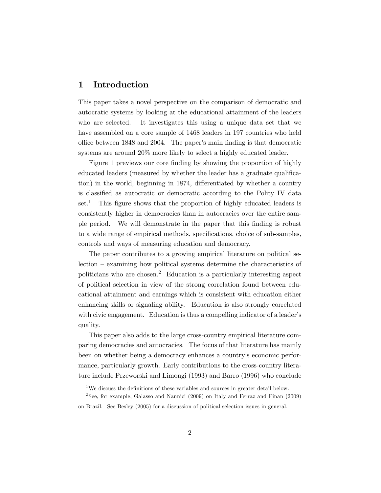# 1 Introduction

This paper takes a novel perspective on the comparison of democratic and autocratic systems by looking at the educational attainment of the leaders who are selected. It investigates this using a unique data set that we have assembled on a core sample of 1468 leaders in 197 countries who held office between 1848 and 2004. The paper's main finding is that democratic systems are around 20% more likely to select a highly educated leader.

Figure 1 previews our core finding by showing the proportion of highly educated leaders (measured by whether the leader has a graduate qualification) in the world, beginning in 1874, differentiated by whether a country is classified as autocratic or democratic according to the Polity IV data  $set<sup>1</sup>$ . This figure shows that the proportion of highly educated leaders is consistently higher in democracies than in autocracies over the entire sample period. We will demonstrate in the paper that this Önding is robust to a wide range of empirical methods, specifications, choice of sub-samples, controls and ways of measuring education and democracy.

The paper contributes to a growing empirical literature on political se $lection - examining how political systems determine the characteristics of$ politicians who are chosen.<sup>2</sup> Education is a particularly interesting aspect of political selection in view of the strong correlation found between educational attainment and earnings which is consistent with education either enhancing skills or signaling ability. Education is also strongly correlated with civic engagement. Education is thus a compelling indicator of a leader's quality.

This paper also adds to the large cross-country empirical literature comparing democracies and autocracies. The focus of that literature has mainly been on whether being a democracy enhances a country's economic performance, particularly growth. Early contributions to the cross-country literature include Przeworski and Limongi (1993) and Barro (1996) who conclude

<sup>&</sup>lt;sup>1</sup>We discuss the definitions of these variables and sources in greater detail below.

<sup>&</sup>lt;sup>2</sup> See, for example, Galasso and Nannici (2009) on Italy and Ferraz and Finan (2009) on Brazil. See Besley (2005) for a discussion of political selection issues in general.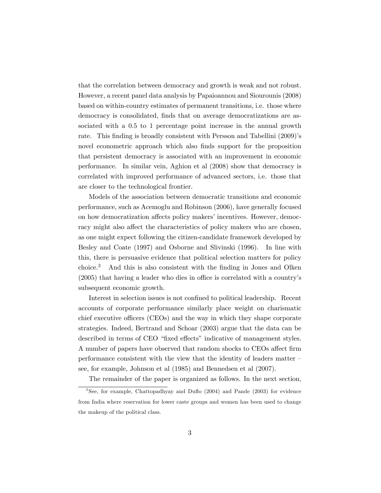that the correlation between democracy and growth is weak and not robust. However, a recent panel data analysis by Papaioannou and Siourounis (2008) based on within-country estimates of permanent transitions, i.e. those where democracy is consolidated, finds that on average democratizations are associated with a 0.5 to 1 percentage point increase in the annual growth rate. This finding is broadly consistent with Persson and Tabellini (2009)'s novel econometric approach which also finds support for the proposition that persistent democracy is associated with an improvement in economic performance. In similar vein, Aghion et al (2008) show that democracy is correlated with improved performance of advanced sectors, i.e. those that are closer to the technological frontier.

Models of the association between democratic transitions and economic performance, such as Acemoglu and Robinson (2006), have generally focused on how democratization affects policy makers' incentives. However, democracy might also affect the characteristics of policy makers who are chosen, as one might expect following the citizen-candidate framework developed by Besley and Coate (1997) and Osborne and Slivinski (1996). In line with this, there is persuasive evidence that political selection matters for policy choice.<sup>3</sup> And this is also consistent with the finding in Jones and Olken  $(2005)$  that having a leader who dies in office is correlated with a country's subsequent economic growth.

Interest in selection issues is not confined to political leadership. Recent accounts of corporate performance similarly place weight on charismatic chief executive officers (CEOs) and the way in which they shape corporate strategies. Indeed, Bertrand and Schoar (2003) argue that the data can be described in terms of CEO "fixed effects" indicative of management styles. A number of papers have observed that random shocks to CEOs affect firm performance consistent with the view that the identity of leaders matter  $$ see, for example, Johnson et al (1985) and Bennedsen et al (2007).

The remainder of the paper is organized as follows. In the next section,

<sup>&</sup>lt;sup>3</sup>See, for example, Chattopadhyay and Duflo (2004) and Pande (2003) for evidence from India where reservation for lower caste groups and women has been used to change the makeup of the political class.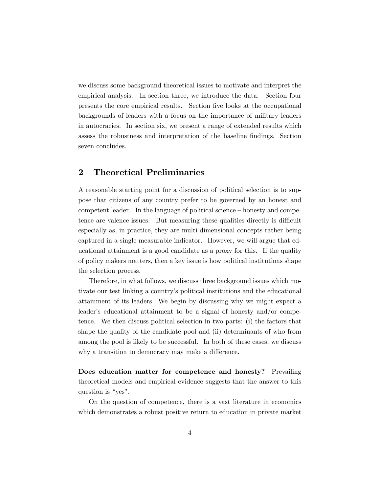we discuss some background theoretical issues to motivate and interpret the empirical analysis. In section three, we introduce the data. Section four presents the core empirical results. Section five looks at the occupational backgrounds of leaders with a focus on the importance of military leaders in autocracies. In section six, we present a range of extended results which assess the robustness and interpretation of the baseline Öndings. Section seven concludes.

# 2 Theoretical Preliminaries

A reasonable starting point for a discussion of political selection is to suppose that citizens of any country prefer to be governed by an honest and competent leader. In the language of political science  $-\text{honesty}$  and competence are valence issues. But measuring these qualities directly is difficult especially as, in practice, they are multi-dimensional concepts rather being captured in a single measurable indicator. However, we will argue that educational attainment is a good candidate as a proxy for this. If the quality of policy makers matters, then a key issue is how political institutions shape the selection process.

Therefore, in what follows, we discuss three background issues which motivate our test linking a countryís political institutions and the educational attainment of its leaders. We begin by discussing why we might expect a leader's educational attainment to be a signal of honesty and/or competence. We then discuss political selection in two parts: (i) the factors that shape the quality of the candidate pool and (ii) determinants of who from among the pool is likely to be successful. In both of these cases, we discuss why a transition to democracy may make a difference.

Does education matter for competence and honesty? Prevailing theoretical models and empirical evidence suggests that the answer to this question is " $\gamma$ es".

On the question of competence, there is a vast literature in economics which demonstrates a robust positive return to education in private market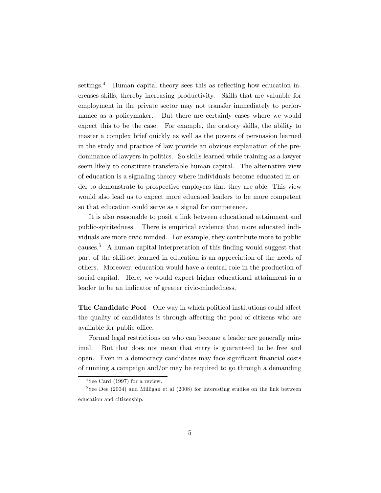settings. $4$  Human capital theory sees this as reflecting how education increases skills, thereby increasing productivity. Skills that are valuable for employment in the private sector may not transfer immediately to performance as a policymaker. But there are certainly cases where we would expect this to be the case. For example, the oratory skills, the ability to master a complex brief quickly as well as the powers of persuasion learned in the study and practice of law provide an obvious explanation of the predominance of lawyers in politics. So skills learned while training as a lawyer seem likely to constitute transferable human capital. The alternative view of education is a signaling theory where individuals become educated in order to demonstrate to prospective employers that they are able. This view would also lead us to expect more educated leaders to be more competent so that education could serve as a signal for competence.

It is also reasonable to posit a link between educational attainment and public-spiritedness. There is empirical evidence that more educated individuals are more civic minded. For example, they contribute more to public causes.<sup>5</sup> A human capital interpretation of this finding would suggest that part of the skill-set learned in education is an appreciation of the needs of others. Moreover, education would have a central role in the production of social capital. Here, we would expect higher educational attainment in a leader to be an indicator of greater civic-mindedness.

The Candidate Pool One way in which political institutions could affect the quality of candidates is through affecting the pool of citizens who are available for public office.

Formal legal restrictions on who can become a leader are generally minimal. But that does not mean that entry is guaranteed to be free and open. Even in a democracy candidates may face significant financial costs of running a campaign and/or may be required to go through a demanding

<sup>4</sup> See Card (1997) for a review.

<sup>&</sup>lt;sup>5</sup>See Dee (2004) and Milligan et al (2008) for interesting studies on the link between education and citizenship.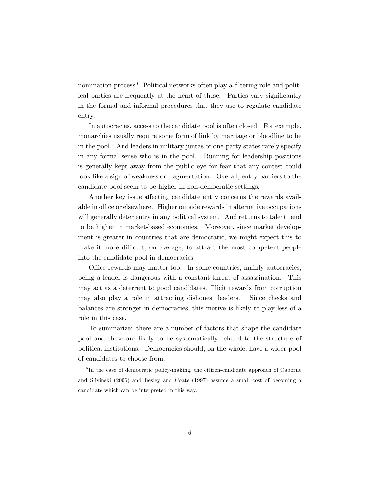nomination process.<sup>6</sup> Political networks often play a filtering role and political parties are frequently at the heart of these. Parties vary significantly in the formal and informal procedures that they use to regulate candidate entry.

In autocracies, access to the candidate pool is often closed. For example, monarchies usually require some form of link by marriage or bloodline to be in the pool. And leaders in military juntas or one-party states rarely specify in any formal sense who is in the pool. Running for leadership positions is generally kept away from the public eye for fear that any contest could look like a sign of weakness or fragmentation. Overall, entry barriers to the candidate pool seem to be higher in non-democratic settings.

Another key issue affecting candidate entry concerns the rewards available in office or elsewhere. Higher outside rewards in alternative occupations will generally deter entry in any political system. And returns to talent tend to be higher in market-based economies. Moreover, since market development is greater in countries that are democratic, we might expect this to make it more difficult, on average, to attract the most competent people into the candidate pool in democracies.

Office rewards may matter too. In some countries, mainly autocracies, being a leader is dangerous with a constant threat of assassination. This may act as a deterrent to good candidates. Illicit rewards from corruption may also play a role in attracting dishonest leaders. Since checks and balances are stronger in democracies, this motive is likely to play less of a role in this case.

To summarize: there are a number of factors that shape the candidate pool and these are likely to be systematically related to the structure of political institutions. Democracies should, on the whole, have a wider pool of candidates to choose from.

<sup>&</sup>lt;sup>6</sup>In the case of democratic policy-making, the citizen-candidate approach of Osborne and Slivinski (2006) and Besley and Coate (1997) assume a small cost of becoming a candidate which can be interpreted in this way.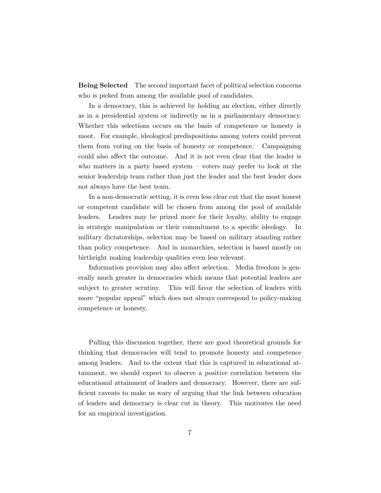Being Selected The second important facet of political selection concerns who is picked from among the available pool of candidates.

In a democracy, this is achieved by holding an election, either directly as in a presidential system or indirectly as in a parliamentary democracy. Whether this selections occurs on the basis of competence or honesty is moot. For example, ideological predispositions among voters could prevent them from voting on the basis of honesty or competence. Campaigning could also affect the outcome. And it is not even clear that the leader is who matters in a party based system  $\sim$  voters may prefer to look at the senior leadership team rather than just the leader and the best leader does not always have the best team.

In a non-democratic setting, it is even less clear cut that the most honest or competent candidate will be chosen from among the pool of available leaders. Leaders may be prized more for their loyalty, ability to engage in strategic manipulation or their commitment to a specific ideology. In military dictatorships, selection may be based on military standing rather than policy competence. And in monarchies, selection is based mostly on birthright making leadership qualities even less relevant.

Information provision may also affect selection. Media freedom is generally much greater in democracies which means that potential leaders are subject to greater scrutiny. This will favor the selection of leaders with more "popular appeal" which does not always correspond to policy-making competence or honesty.

Pulling this discussion together, there are good theoretical grounds for thinking that democracies will tend to promote honesty and competence among leaders. And to the extent that this is captured in educational attainment, we should expect to observe a positive correlation between the educational attainment of leaders and democracy. However, there are sufficient caveats to make us wary of arguing that the link between education of leaders and democracy is clear cut in theory. This motivates the need for an empirical investigation.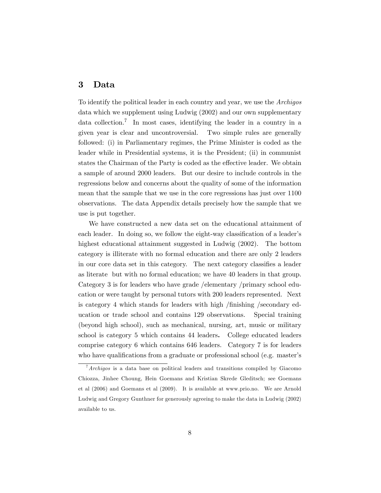## 3 Data

To identify the political leader in each country and year, we use the Archigos data which we supplement using Ludwig (2002) and our own supplementary data collection.<sup>7</sup> In most cases, identifying the leader in a country in a given year is clear and uncontroversial. Two simple rules are generally followed: (i) in Parliamentary regimes, the Prime Minister is coded as the leader while in Presidential systems, it is the President; (ii) in communist states the Chairman of the Party is coded as the effective leader. We obtain a sample of around 2000 leaders. But our desire to include controls in the regressions below and concerns about the quality of some of the information mean that the sample that we use in the core regressions has just over 1100 observations. The data Appendix details precisely how the sample that we use is put together.

We have constructed a new data set on the educational attainment of each leader. In doing so, we follow the eight-way classification of a leader's highest educational attainment suggested in Ludwig (2002). The bottom category is illiterate with no formal education and there are only 2 leaders in our core data set in this category. The next category classifies a leader as literate but with no formal education; we have 40 leaders in that group. Category 3 is for leaders who have grade /elementary /primary school education or were taught by personal tutors with 200 leaders represented. Next is category 4 which stands for leaders with high /finishing /secondary education or trade school and contains 129 observations. Special training (beyond high school), such as mechanical, nursing, art, music or military school is category 5 which contains 44 leaders. College educated leaders comprise category 6 which contains 646 leaders. Category 7 is for leaders who have qualifications from a graduate or professional school (e.g. master's

 $7$ Archigos is a data base on political leaders and transitions compiled by Giacomo Chiozza, Jinhee Choung, Hein Goemans and Kristian Skrede Gleditsch; see Goemans et al (2006) and Goemans et al (2009). It is available at www.prio.no. We are Arnold Ludwig and Gregory Gunthner for generously agreeing to make the data in Ludwig (2002) available to us.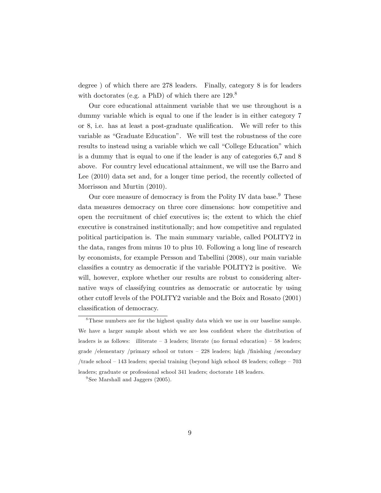degree ) of which there are 278 leaders. Finally, category 8 is for leaders with doctorates (e.g. a PhD) of which there are  $129.8$ 

Our core educational attainment variable that we use throughout is a dummy variable which is equal to one if the leader is in either category 7 or  $8$ , i.e. has at least a post-graduate qualification. We will refer to this variable as "Graduate Education". We will test the robustness of the core results to instead using a variable which we call "College Education" which is a dummy that is equal to one if the leader is any of categories 6,7 and 8 above. For country level educational attainment, we will use the Barro and Lee (2010) data set and, for a longer time period, the recently collected of Morrisson and Murtin (2010).

Our core measure of democracy is from the Polity IV data base.<sup>9</sup> These data measures democracy on three core dimensions: how competitive and open the recruitment of chief executives is; the extent to which the chief executive is constrained institutionally; and how competitive and regulated political participation is. The main summary variable, called POLITY2 in the data, ranges from minus 10 to plus 10. Following a long line of research by economists, for example Persson and Tabellini (2008), our main variable classifies a country as democratic if the variable POLITY2 is positive. We will, however, explore whether our results are robust to considering alternative ways of classifying countries as democratic or autocratic by using other cutoff levels of the POLITY2 variable and the Boix and Rosato (2001) classification of democracy.

<sup>&</sup>lt;sup>8</sup>These numbers are for the highest quality data which we use in our baseline sample. We have a larger sample about which we are less confident where the distribution of leaders is as follows: illiterate  $-3$  leaders; literate (no formal education)  $-58$  leaders; grade /elementary /primary school or tutors  $-228$  leaders; high /finishing /secondary /trade school  $-143$  leaders; special training (beyond high school 48 leaders; college  $-703$ leaders; graduate or professional school 341 leaders; doctorate 148 leaders.

<sup>&</sup>lt;sup>9</sup> See Marshall and Jaggers (2005).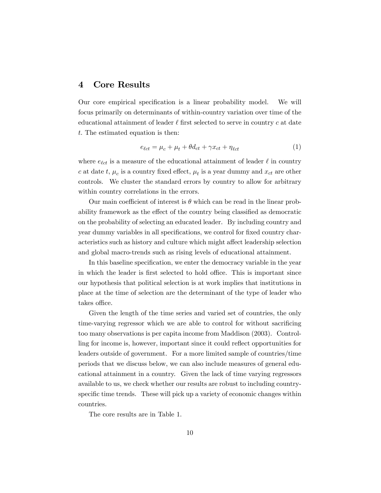## 4 Core Results

Our core empirical specification is a linear probability model. We will focus primarily on determinants of within-country variation over time of the educational attainment of leader  $\ell$  first selected to serve in country c at date t: The estimated equation is then:

$$
e_{\ell ct} = \mu_c + \mu_t + \theta d_{ct} + \gamma x_{ct} + \eta_{\ell ct}
$$
\n<sup>(1)</sup>

where  $e_{\ell ct}$  is a measure of the educational attainment of leader  $\ell$  in country c at date t,  $\mu_c$  is a country fixed effect,  $\mu_t$  is a year dummy and  $x_{ct}$  are other controls. We cluster the standard errors by country to allow for arbitrary within country correlations in the errors.

Our main coefficient of interest is  $\theta$  which can be read in the linear probability framework as the effect of the country being classified as democratic on the probability of selecting an educated leader. By including country and year dummy variables in all specifications, we control for fixed country characteristics such as history and culture which might affect leadership selection and global macro-trends such as rising levels of educational attainment.

In this baseline specification, we enter the democracy variable in the year in which the leader is first selected to hold office. This is important since our hypothesis that political selection is at work implies that institutions in place at the time of selection are the determinant of the type of leader who takes office.

Given the length of the time series and varied set of countries, the only time-varying regressor which we are able to control for without sacrificing too many observations is per capita income from Maddison (2003). Controlling for income is, however, important since it could reflect opportunities for leaders outside of government. For a more limited sample of countries/time periods that we discuss below, we can also include measures of general educational attainment in a country. Given the lack of time varying regressors available to us, we check whether our results are robust to including countryspecific time trends. These will pick up a variety of economic changes within countries.

The core results are in Table 1.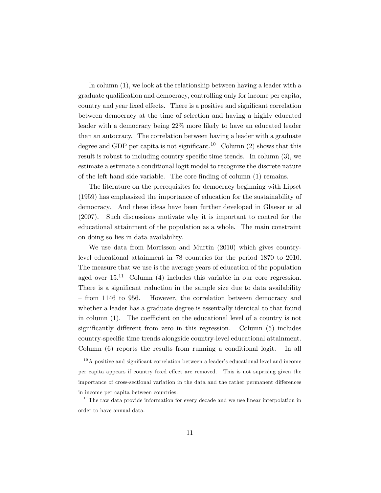In column (1), we look at the relationship between having a leader with a graduate qualification and democracy, controlling only for income per capita, country and year fixed effects. There is a positive and significant correlation between democracy at the time of selection and having a highly educated leader with a democracy being 22% more likely to have an educated leader than an autocracy. The correlation between having a leader with a graduate degree and GDP per capita is not significant.<sup>10</sup> Column (2) shows that this result is robust to including country specific time trends. In column  $(3)$ , we estimate a estimate a conditional logit model to recognize the discrete nature of the left hand side variable. The core finding of column  $(1)$  remains.

The literature on the prerequisites for democracy beginning with Lipset (1959) has emphasized the importance of education for the sustainability of democracy. And these ideas have been further developed in Glaeser et al (2007). Such discussions motivate why it is important to control for the educational attainment of the population as a whole. The main constraint on doing so lies in data availability.

We use data from Morrisson and Murtin (2010) which gives countrylevel educational attainment in 78 countries for the period 1870 to 2010. The measure that we use is the average years of education of the population aged over  $15^{11}$  Column (4) includes this variable in our core regression. There is a significant reduction in the sample size due to data availability – from 1146 to 956. However, the correlation between democracy and whether a leader has a graduate degree is essentially identical to that found in column  $(1)$ . The coefficient on the educational level of a country is not significantly different from zero in this regression. Column  $(5)$  includes country-specific time trends alongside country-level educational attainment. Column (6) reports the results from running a conditional logit. In all

 $10$ A positive and significant correlation between a leader's educational level and income per capita appears if country fixed effect are removed. This is not suprising given the importance of cross-sectional variation in the data and the rather permanent differences in income per capita between countries.

 $11$ <sup>11</sup> The raw data provide information for every decade and we use linear interpolation in order to have annual data.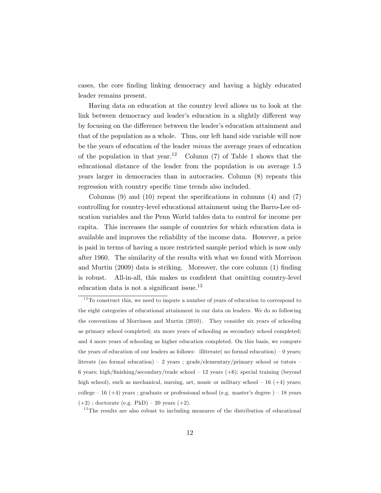cases, the core finding linking democracy and having a highly educated leader remains present.

Having data on education at the country level allows us to look at the link between democracy and leader's education in a slightly different way by focusing on the difference between the leader's education attainment and that of the population as a whole. Thus, our left hand side variable will now be the years of education of the leader *minus* the average years of education of the population in that year.<sup>12</sup> Column (7) of Table 1 shows that the educational distance of the leader from the population is on average 1.5 years larger in democracies than in autocracies. Column (8) repeats this regression with country specific time trends also included.

Columns  $(9)$  and  $(10)$  repeat the specifications in columns  $(4)$  and  $(7)$ controlling for country-level educational attainment using the Barro-Lee education variables and the Penn World tables data to control for income per capita. This increases the sample of countries for which education data is available and improves the reliability of the income data. However, a price is paid in terms of having a more restricted sample period which is now only after 1960. The similarity of the results with what we found with Morrison and Murtin  $(2009)$  data is striking. Moreover, the core column  $(1)$  finding is robust. All-in-all, this makes us confident that omitting country-level education data is not a significant issue. $^{13}$ 

 $13$ The results are also robust to including measures of the distribution of educational

 $12$ To construct this, we need to impute a number of years of education to correspond to the eight categories of educational attainment in our data on leaders. We do so following the conventions of Morrisson and Murtin (2010). They consider six years of schooling as primary school completed; six more years of schooling as secondary school completed; and 4 more years of schooling as higher education completed. On this basis, we compute the years of education of our leaders as follows: illiterate( no formal education)  $-0$  years; literate (no formal education)  $-2$  years; grade/elementary/primary school or tutors  $-$ 6 years; high/finishing/secondary/trade school  $-12$  years (+6); special training (beyond high school), such as mechanical, nursing, art, music or military school  $-16$  (+4) years; college  $-16$  (+4) years ; graduate or professional school (e.g. master's degree )  $-18$  years  $(+2)$ ; doctorate (e.g. PhD) – 20 years  $(+2)$ .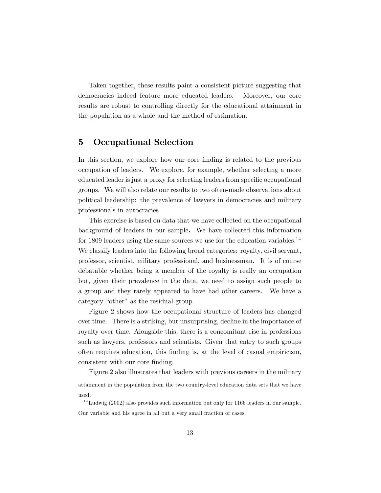Taken together, these results paint a consistent picture suggesting that democracies indeed feature more educated leaders. Moreover, our core results are robust to controlling directly for the educational attainment in the population as a whole and the method of estimation.

# 5 Occupational Selection

In this section, we explore how our core finding is related to the previous occupation of leaders. We explore, for example, whether selecting a more educated leader is just a proxy for selecting leaders from specific occupational groups. We will also relate our results to two often-made observations about political leadership: the prevalence of lawyers in democracies and military professionals in autocracies.

This exercise is based on data that we have collected on the occupational background of leaders in our sample. We have collected this information for 1809 leaders using the same sources we use for the education variables.<sup>14</sup> We classify leaders into the following broad categories: royalty, civil servant, professor, scientist, military professional, and businessman. It is of course debatable whether being a member of the royalty is really an occupation but, given their prevalence in the data, we need to assign such people to a group and they rarely appeared to have had other careers. We have a category "other" as the residual group.

Figure 2 shows how the occupational structure of leaders has changed over time. There is a striking, but unsurprising, decline in the importance of royalty over time. Alongside this, there is a concomitant rise in professions such as lawyers, professors and scientists. Given that entry to such groups often requires education, this Önding is, at the level of casual empiricism, consistent with our core finding.

Figure 2 also illustrates that leaders with previous careers in the military

attainment in the population from the two country-level education data sets that we have used.

 $14$ Ludwig (2002) also provides such information but only for 1166 leaders in our sample. Our variable and his agree in all but a very small fraction of cases.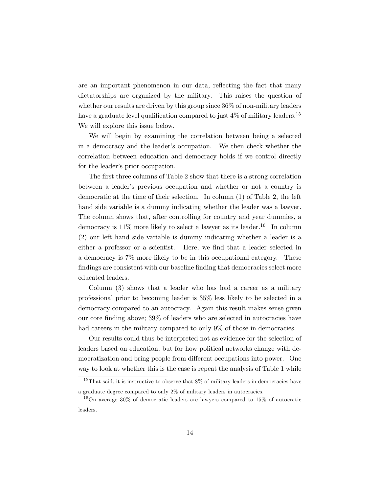are an important phenomenon in our data, reflecting the fact that many dictatorships are organized by the military. This raises the question of whether our results are driven by this group since 36% of non-military leaders have a graduate level qualification compared to just  $4\%$  of military leaders.<sup>15</sup> We will explore this issue below.

We will begin by examining the correlation between being a selected in a democracy and the leader's occupation. We then check whether the correlation between education and democracy holds if we control directly for the leader's prior occupation.

The first three columns of Table 2 show that there is a strong correlation between a leaderís previous occupation and whether or not a country is democratic at the time of their selection. In column (1) of Table 2, the left hand side variable is a dummy indicating whether the leader was a lawyer. The column shows that, after controlling for country and year dummies, a democracy is  $11\%$  more likely to select a lawyer as its leader.<sup>16</sup> In column (2) our left hand side variable is dummy indicating whether a leader is a either a professor or a scientist. Here, we find that a leader selected in a democracy is 7% more likely to be in this occupational category. These findings are consistent with our baseline finding that democracies select more educated leaders.

Column (3) shows that a leader who has had a career as a military professional prior to becoming leader is 35% less likely to be selected in a democracy compared to an autocracy. Again this result makes sense given our core Önding above; 39% of leaders who are selected in autocracies have had careers in the military compared to only 9% of those in democracies.

Our results could thus be interpreted not as evidence for the selection of leaders based on education, but for how political networks change with democratization and bring people from different occupations into power. One way to look at whether this is the case is repeat the analysis of Table 1 while

 $15$ That said, it is instructive to observe that 8% of military leaders in democracies have a graduate degree compared to only 2% of military leaders in autocracies.

 $16$ On average 30% of democratic leaders are lawyers compared to 15% of autocratic leaders.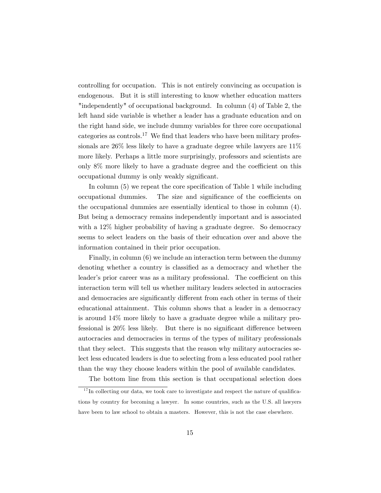controlling for occupation. This is not entirely convincing as occupation is endogenous. But it is still interesting to know whether education matters "independently" of occupational background. In column (4) of Table 2, the left hand side variable is whether a leader has a graduate education and on the right hand side, we include dummy variables for three core occupational categories as controls.<sup>17</sup> We find that leaders who have been military professionals are 26% less likely to have a graduate degree while lawyers are 11% more likely. Perhaps a little more surprisingly, professors and scientists are only  $8\%$  more likely to have a graduate degree and the coefficient on this occupational dummy is only weakly significant.

In column  $(5)$  we repeat the core specification of Table 1 while including occupational dummies. The size and significance of the coefficients on the occupational dummies are essentially identical to those in column (4). But being a democracy remains independently important and is associated with a 12% higher probability of having a graduate degree. So democracy seems to select leaders on the basis of their education over and above the information contained in their prior occupation.

Finally, in column (6) we include an interaction term between the dummy denoting whether a country is classified as a democracy and whether the leader's prior career was as a military professional. The coefficient on this interaction term will tell us whether military leaders selected in autocracies and democracies are significantly different from each other in terms of their educational attainment. This column shows that a leader in a democracy is around 14% more likely to have a graduate degree while a military professional is  $20\%$  less likely. But there is no significant difference between autocracies and democracies in terms of the types of military professionals that they select. This suggests that the reason why military autocracies select less educated leaders is due to selecting from a less educated pool rather than the way they choose leaders within the pool of available candidates.

The bottom line from this section is that occupational selection does

 $17$  In collecting our data, we took care to investigate and respect the nature of qualifications by country for becoming a lawyer. In some countries, such as the U.S. all lawyers have been to law school to obtain a masters. However, this is not the case elsewhere.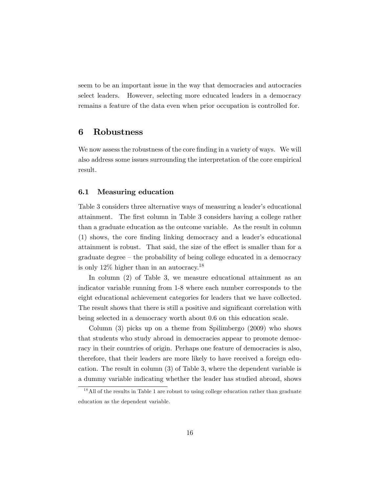seem to be an important issue in the way that democracies and autocracies select leaders. However, selecting more educated leaders in a democracy remains a feature of the data even when prior occupation is controlled for.

#### 6 Robustness

We now assess the robustness of the core finding in a variety of ways. We will also address some issues surrounding the interpretation of the core empirical result.

#### 6.1 Measuring education

Table 3 considers three alternative ways of measuring a leader's educational attainment. The Örst column in Table 3 considers having a college rather than a graduate education as the outcome variable. As the result in column (1) shows, the core Önding linking democracy and a leaderís educational attainment is robust. That said, the size of the effect is smaller than for a  $\alpha$  graduate degree – the probability of being college educated in a democracy is only 12% higher than in an autocracy.<sup>18</sup>

In column (2) of Table 3, we measure educational attainment as an indicator variable running from 1-8 where each number corresponds to the eight educational achievement categories for leaders that we have collected. The result shows that there is still a positive and significant correlation with being selected in a democracy worth about 0.6 on this education scale.

Column (3) picks up on a theme from Spilimbergo (2009) who shows that students who study abroad in democracies appear to promote democracy in their countries of origin. Perhaps one feature of democracies is also, therefore, that their leaders are more likely to have received a foreign education. The result in column (3) of Table 3, where the dependent variable is a dummy variable indicating whether the leader has studied abroad, shows

<sup>&</sup>lt;sup>18</sup> All of the results in Table 1 are robust to using college education rather than graduate education as the dependent variable.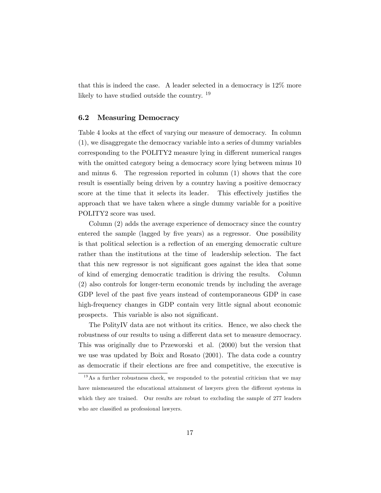that this is indeed the case. A leader selected in a democracy is 12% more likely to have studied outside the country. <sup>19</sup>

#### 6.2 Measuring Democracy

Table 4 looks at the effect of varying our measure of democracy. In column (1), we disaggregate the democracy variable into a series of dummy variables corresponding to the POLITY2 measure lying in different numerical ranges with the omitted category being a democracy score lying between minus 10 and minus 6. The regression reported in column (1) shows that the core result is essentially being driven by a country having a positive democracy score at the time that it selects its leader. This effectively justifies the approach that we have taken where a single dummy variable for a positive POLITY2 score was used.

Column (2) adds the average experience of democracy since the country entered the sample (lagged by five years) as a regressor. One possibility is that political selection is a reflection of an emerging democratic culture rather than the institutions at the time of leadership selection. The fact that this new regressor is not significant goes against the idea that some of kind of emerging democratic tradition is driving the results. Column (2) also controls for longer-term economic trends by including the average GDP level of the past five years instead of contemporaneous GDP in case high-frequency changes in GDP contain very little signal about economic prospects. This variable is also not significant.

The PolityIV data are not without its critics. Hence, we also check the robustness of our results to using a different data set to measure democracy. This was originally due to Przeworski et al. (2000) but the version that we use was updated by Boix and Rosato (2001). The data code a country as democratic if their elections are free and competitive, the executive is

 $19$ As a further robustness check, we responded to the potential criticism that we may have mismeasured the educational attainment of lawyers given the different systems in which they are trained. Our results are robust to excluding the sample of 277 leaders who are classified as professional lawyers.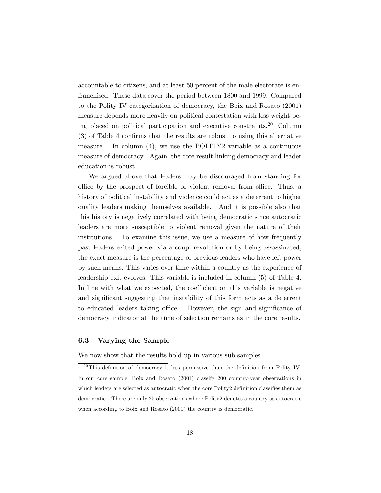accountable to citizens, and at least 50 percent of the male electorate is enfranchised. These data cover the period between 1800 and 1999. Compared to the Polity IV categorization of democracy, the Boix and Rosato (2001) measure depends more heavily on political contestation with less weight being placed on political participation and executive constraints.<sup>20</sup> Column  $(3)$  of Table 4 confirms that the results are robust to using this alternative measure. In column (4), we use the POLITY2 variable as a continuous measure of democracy. Again, the core result linking democracy and leader education is robust.

We argued above that leaders may be discouraged from standing for office by the prospect of forcible or violent removal from office. Thus, a history of political instability and violence could act as a deterrent to higher quality leaders making themselves available. And it is possible also that this history is negatively correlated with being democratic since autocratic leaders are more susceptible to violent removal given the nature of their institutions. To examine this issue, we use a measure of how frequently past leaders exited power via a coup, revolution or by being assassinated; the exact measure is the percentage of previous leaders who have left power by such means. This varies over time within a country as the experience of leadership exit evolves. This variable is included in column (5) of Table 4. In line with what we expected, the coefficient on this variable is negative and significant suggesting that instability of this form acts as a deterrent to educated leaders taking office. However, the sign and significance of democracy indicator at the time of selection remains as in the core results.

#### 6.3 Varying the Sample

We now show that the results hold up in various sub-samples.

 $^{20}$ This definition of democracy is less permissive than the definition from Polity IV. In our core sample, Boix and Rosato (2001) classify 200 country-year observations in which leaders are selected as autocratic when the core Polity2 definition classifies them as democratic. There are only 25 observations where Polity2 denotes a country as autocratic when according to Boix and Rosato (2001) the country is democratic.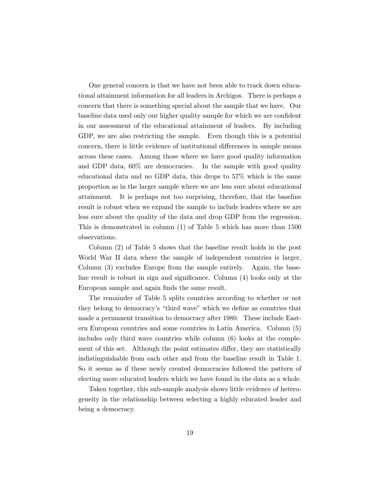One general concern is that we have not been able to track down educational attainment information for all leaders in Archigos. There is perhaps a concern that there is something special about the sample that we have. Our baseline data used only our higher quality sample for which we are confident in our assessment of the educational attainment of leaders. By including GDP, we are also restricting the sample. Even though this is a potential concern, there is little evidence of institutional differences in sample means across these cases. Among those where we have good quality information and GDP data, 60% are democracies. In the sample with good quality educational data and no GDP data, this drops to 57% which is the same proportion as in the larger sample where we are less sure about educational attainment. It is perhaps not too surprising, therefore, that the baseline result is robust when we expand the sample to include leaders where we are less sure about the quality of the data and drop GDP from the regression. This is demonstrated in column (1) of Table 5 which has more than 1500 observations.

Column (2) of Table 5 shows that the baseline result holds in the post World War II data where the sample of independent countries is larger. Column (3) excludes Europe from the sample entirely. Again, the baseline result is robust in sign and significance. Column  $(4)$  looks only at the European sample and again finds the same result.

The remainder of Table 5 splits countries according to whether or not they belong to democracy's "third wave" which we define as countries that made a permanent transition to democracy after 1980. These include Eastern European countries and some countries in Latin America. Column (5) includes only third wave countries while column (6) looks at the complement of this set. Although the point estimates differ, they are statistically indistinguishable from each other and from the baseline result in Table 1. So it seems as if these newly created democracies followed the pattern of electing more educated leaders which we have found in the data as a whole.

Taken together, this sub-sample analysis shows little evidence of heterogeneity in the relationship between selecting a highly educated leader and being a democracy.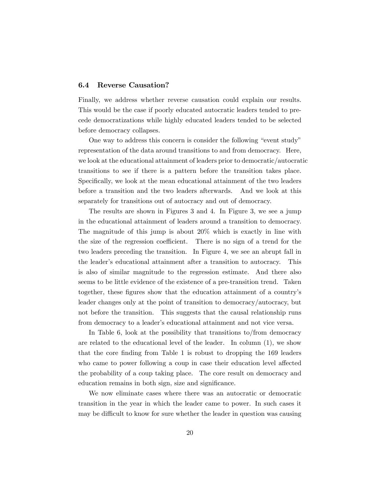#### 6.4 Reverse Causation?

Finally, we address whether reverse causation could explain our results. This would be the case if poorly educated autocratic leaders tended to precede democratizations while highly educated leaders tended to be selected before democracy collapses.

One way to address this concern is consider the following "event study" representation of the data around transitions to and from democracy. Here, we look at the educational attainment of leaders prior to democratic/autocratic transitions to see if there is a pattern before the transition takes place. Specifically, we look at the mean educational attainment of the two leaders before a transition and the two leaders afterwards. And we look at this separately for transitions out of autocracy and out of democracy.

The results are shown in Figures 3 and 4. In Figure 3, we see a jump in the educational attainment of leaders around a transition to democracy. The magnitude of this jump is about 20% which is exactly in line with the size of the regression coefficient. There is no sign of a trend for the two leaders preceding the transition. In Figure 4, we see an abrupt fall in the leader's educational attainment after a transition to autocracy. This is also of similar magnitude to the regression estimate. And there also seems to be little evidence of the existence of a pre-transition trend. Taken together, these figures show that the education attainment of a country's leader changes only at the point of transition to democracy/autocracy, but not before the transition. This suggests that the causal relationship runs from democracy to a leaderís educational attainment and not vice versa.

In Table 6, look at the possibility that transitions to/from democracy are related to the educational level of the leader. In column  $(1)$ , we show that the core finding from Table 1 is robust to dropping the 169 leaders who came to power following a coup in case their education level affected the probability of a coup taking place. The core result on democracy and education remains in both sign, size and significance.

We now eliminate cases where there was an autocratic or democratic transition in the year in which the leader came to power. In such cases it may be difficult to know for sure whether the leader in question was causing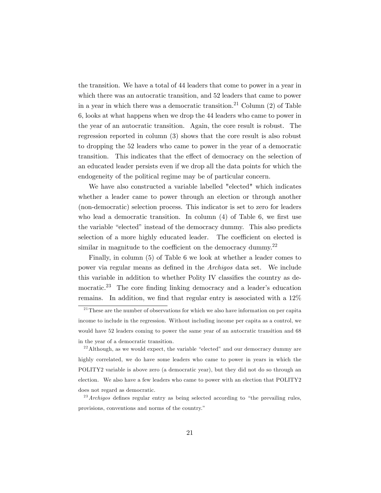the transition. We have a total of 44 leaders that come to power in a year in which there was an autocratic transition, and 52 leaders that came to power in a year in which there was a democratic transition.<sup>21</sup> Column  $(2)$  of Table 6, looks at what happens when we drop the 44 leaders who came to power in the year of an autocratic transition. Again, the core result is robust. The regression reported in column (3) shows that the core result is also robust to dropping the 52 leaders who came to power in the year of a democratic transition. This indicates that the effect of democracy on the selection of an educated leader persists even if we drop all the data points for which the endogeneity of the political regime may be of particular concern.

We have also constructed a variable labelled "elected" which indicates whether a leader came to power through an election or through another (non-democratic) selection process. This indicator is set to zero for leaders who lead a democratic transition. In column  $(4)$  of Table 6, we first use the variable "elected" instead of the democracy dummy. This also predicts selection of a more highly educated leader. The coefficient on elected is similar in magnitude to the coefficient on the democracy dummy.<sup>22</sup>

Finally, in column (5) of Table 6 we look at whether a leader comes to power via regular means as deÖned in the Archigos data set. We include this variable in addition to whether Polity IV classifies the country as democratic.<sup>23</sup> The core finding linking democracy and a leader's education remains. In addition, we find that regular entry is associated with a  $12\%$ 

 $2<sup>21</sup>$  These are the number of observations for which we also have information on per capita income to include in the regression. Without including income per capita as a control, we would have 52 leaders coming to power the same year of an autocratic transition and 68 in the year of a democratic transition.

 $22$ Although, as we would expect, the variable "elected" and our democracy dummy are highly correlated, we do have some leaders who came to power in years in which the POLITY2 variable is above zero (a democratic year), but they did not do so through an election. We also have a few leaders who came to power with an election that POLITY2 does not regard as democratic.

 $^{23}$  Archigos defines regular entry as being selected according to "the prevailing rules, provisions, conventions and norms of the country."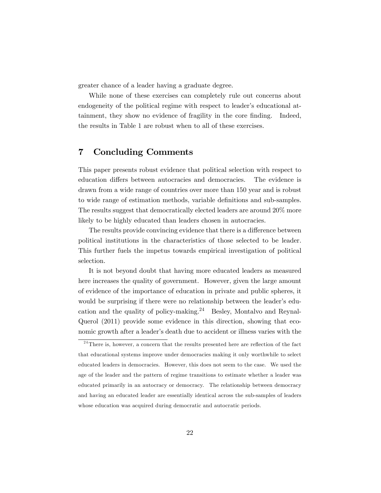greater chance of a leader having a graduate degree.

While none of these exercises can completely rule out concerns about endogeneity of the political regime with respect to leader's educational attainment, they show no evidence of fragility in the core finding. Indeed, the results in Table 1 are robust when to all of these exercises.

# 7 Concluding Comments

This paper presents robust evidence that political selection with respect to education differs between autocracies and democracies. The evidence is drawn from a wide range of countries over more than 150 year and is robust to wide range of estimation methods, variable definitions and sub-samples. The results suggest that democratically elected leaders are around 20% more likely to be highly educated than leaders chosen in autocracies.

The results provide convincing evidence that there is a difference between political institutions in the characteristics of those selected to be leader. This further fuels the impetus towards empirical investigation of political selection.

It is not beyond doubt that having more educated leaders as measured here increases the quality of government. However, given the large amount of evidence of the importance of education in private and public spheres, it would be surprising if there were no relationship between the leader's education and the quality of policy-making. $24$  Besley, Montalvo and Reynal-Querol (2011) provide some evidence in this direction, showing that economic growth after a leader's death due to accident or illness varies with the

 $24$ There is, however, a concern that the results presented here are reflection of the fact that educational systems improve under democracies making it only worthwhile to select educated leaders in democracies. However, this does not seem to the case. We used the age of the leader and the pattern of regime transitions to estimate whether a leader was educated primarily in an autocracy or democracy. The relationship between democracy and having an educated leader are essentially identical across the sub-samples of leaders whose education was acquired during democratic and autocratic periods.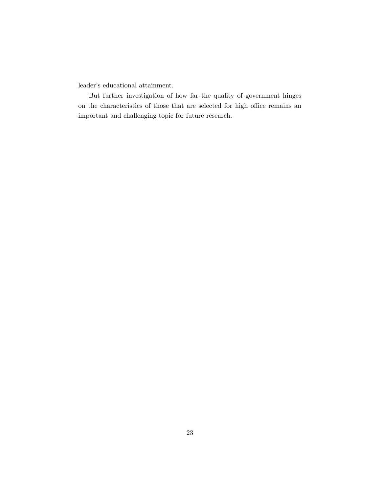leader's educational attainment.

But further investigation of how far the quality of government hinges on the characteristics of those that are selected for high office remains an important and challenging topic for future research.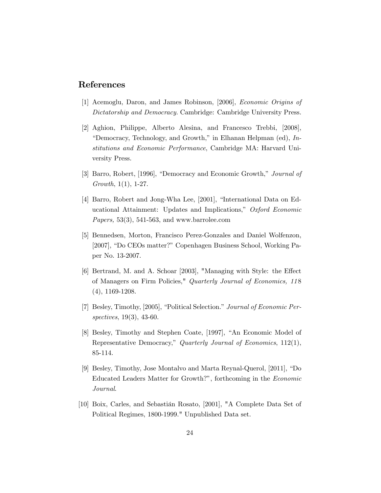## References

- [1] Acemoglu, Daron, and James Robinson, [2006], Economic Origins of Dictatorship and Democracy. Cambridge: Cambridge University Press.
- [2] Aghion, Philippe, Alberto Alesina, and Francesco Trebbi, [2008], "Democracy, Technology, and Growth," in Elhanan Helpman (ed),  $In$ stitutions and Economic Performance, Cambridge MA: Harvard University Press.
- [3] Barro, Robert, [1996], "Democracy and Economic Growth," Journal of Growth, 1(1), 1-27.
- [4] Barro, Robert and Jong-Wha Lee, [2001], "International Data on Educational Attainment: Updates and Implications," Oxford Economic *Papers*, 53(3), 541-563, and www.barrolee.com
- [5] Bennedsen, Morton, Francisco Perez-Gonzales and Daniel Wolfenzon, [2007], "Do CEOs matter?" Copenhagen Business School, Working Paper No. 13-2007.
- [6] Bertrand, M. and A. Schoar [2003], "Managing with Style: the Effect of Managers on Firm Policies," Quarterly Journal of Economics, 11 8 (4), 1169-1208.
- [7] Besley, Timothy, [2005], "Political Selection." Journal of Economic Perspectives, 19(3), 43-60.
- [8] Besley, Timothy and Stephen Coate, [1997], "An Economic Model of Representative Democracy," Quarterly Journal of Economics, 112(1), 85-114.
- [9] Besley, Timothy, Jose Montalvo and Marta Reynal-Querol, [2011], "Do Educated Leaders Matter for Growth?", forthcoming in the Economic Journal.
- [10] Boix, Carles, and Sebastián Rosato, [2001], "A Complete Data Set of Political Regimes, 1800-1999." Unpublished Data set.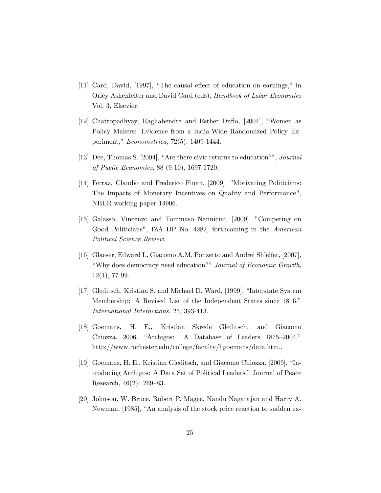- [11] Card, David, [1997], "The causal effect of education on earnings," in Orley Ashenfelter and David Card (eds), Handbook of Labor Economics Vol. 3, Elsevier.
- [12] Chattopadhyay, Raghabendra and Esther Duflo, [2004], "Women as Policy Makers: Evidence from a India-Wide Randomized Policy Experiment,"  $Econometrica$ , 72(5), 1409-1444.
- [13] Dee, Thomas S. [2004], "Are there civic returns to education?", Journal of Public Economics, 88 (9-10), 1697-1720.
- [14] Ferraz, Claudio and Frederico Finan, [2009], "Motivating Politicians: The Impacts of Monetary Incentives on Quality and Performance", NBER working paper 14906.
- [15] Galasso, Vincenzo and Tommaso Nannicini, [2009], "Competing on Good Politicians", IZA DP No. 4282, forthcoming in the American Political Science Review.
- [16] Glaeser, Edward L, Giacomo A.M. Ponzetto and Andrei Shleifer, [2007], "Why does democracy need education?" Journal of Economic Growth, 12(1), 77-99.
- [17] Gleditsch, Kristian S. and Michael D. Ward, [1999], "Interstate System" Membership: A Revised List of the Independent States since 1816.<sup>n</sup> International Interactions, 25, 393-413.
- [18] Goemans, H. E., Kristian Skrede Gleditsch, and Giacomo Chiozza. 2006. "Archigos: A Database of Leaders 1875–2004." http://www.rochester.edu/college/faculty/hgoemans/data.htm..
- [19] Goemans, H. E., Kristian Gleditsch, and Giacomo Chiozza. [2009]. "Introducing Archigos: A Data Set of Political Leaders." Journal of Peace Research,  $46(2)$ : 269–83.
- [20] Johnson, W. Bruce, Robert P. Magee, Nandu Nagarajan and Harry A. Newman, [1985], "An analysis of the stock price reaction to sudden ex-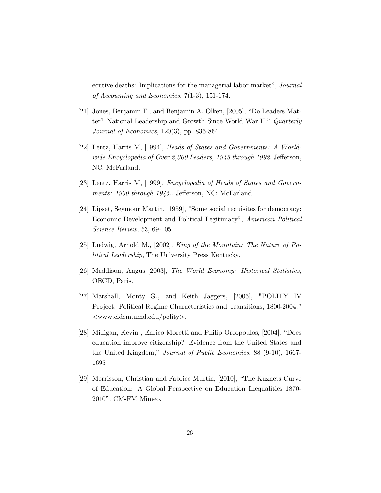ecutive deaths: Implications for the managerial labor market", Journal of Accounting and Economics, 7(1-3), 151-174.

- [21] Jones, Benjamin F., and Benjamin A. Olken, [2005], "Do Leaders Matter? National Leadership and Growth Since World War II." Quarterly Journal of Economics, 120(3), pp. 835-864.
- [22] Lentz, Harris M, [1994], Heads of States and Governments: A Worldwide Encyclopedia of Over 2,300 Leaders, 1945 through 1992. Jefferson, NC: McFarland.
- [23] Lentz, Harris M, [1999], Encyclopedia of Heads of States and Governments: 1900 through 1945.. Jefferson, NC: McFarland.
- [24] Lipset, Seymour Martin, [1959], "Some social requisites for democracy: Economic Development and Political Legitimacy", American Political Science Review, 53, 69-105.
- [25] Ludwig, Arnold M., [2002], King of the Mountain: The Nature of Political Leadership, The University Press Kentucky.
- [26] Maddison, Angus [2003], The World Economy: Historical Statistics, OECD, Paris.
- [27] Marshall, Monty G., and Keith Jaggers, [2005], "POLITY IV Project: Political Regime Characteristics and Transitions, 1800-2004." <www.cidcm.umd.edu/polity>.
- [28] Milligan, Kevin, Enrico Moretti and Philip Oreopoulos, [2004], "Does education improve citizenship? Evidence from the United States and the United Kingdom," Journal of Public Economics, 88 (9-10), 1667-1695
- [29] Morrisson, Christian and Fabrice Murtin, [2010], "The Kuznets Curve of Education: A Global Perspective on Education Inequalities 1870- 2010î. CM-FM Mimeo.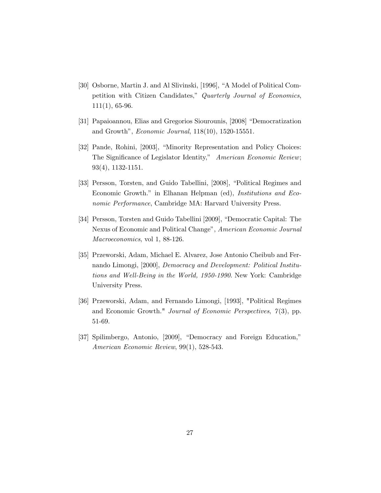- [30] Osborne, Martin J. and Al Slivinski, [1996], "A Model of Political Competition with Citizen Candidates," Quarterly Journal of Economics, 111(1), 65-96.
- [31] Papaioannou, Elias and Gregorios Siourounis, [2008] "Democratization and Growth",  $Economic\ Journal, 118(10), 1520-15551.$
- [32] Pande, Rohini, [2003], "Minority Representation and Policy Choices: The Significance of Legislator Identity," American Economic Review; 93(4), 1132-1151.
- [33] Persson, Torsten, and Guido Tabellini, [2008], "Political Regimes and Economic Growth." in Elhanan Helpman (ed), *Institutions and Eco*nomic Performance, Cambridge MA: Harvard University Press.
- [34] Persson, Torsten and Guido Tabellini [2009], "Democratic Capital: The Nexus of Economic and Political Change", American Economic Journal Macroeconomics, vol 1, 88-126.
- [35] Przeworski, Adam, Michael E. Alvarez, Jose Antonio Cheibub and Fernando Limongi, [2000], Democracy and Development: Political Institutions and Well-Being in the World, 1950-1990. New York: Cambridge University Press.
- [36] Przeworski, Adam, and Fernando Limongi, [1993], "Political Regimes and Economic Growth." Journal of Economic Perspectives,  $\gamma(3)$ , pp. 51-69.
- [37] Spilimbergo, Antonio, [2009], "Democracy and Foreign Education," American Economic Review, 99(1), 528-543.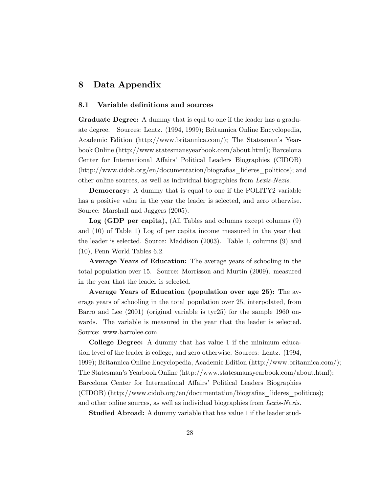## 8 Data Appendix

#### 8.1 Variable definitions and sources

Graduate Degree: A dummy that is eqal to one if the leader has a graduate degree. Sources: Lentz. (1994, 1999); Britannica Online Encyclopedia, Academic Edition (http://www.britannica.com/); The Statesman's Yearbook Online (http://www.statesmansyearbook.com/about.html); Barcelona Center for International Affairs' Political Leaders Biographies (CIDOB)  $(\text{http://www.cidob.org/en/documentation/biografias}$  lideres politicos); and other online sources, as well as individual biographies from Lexis-Nexis.

Democracy: A dummy that is equal to one if the POLITY2 variable has a positive value in the year the leader is selected, and zero otherwise. Source: Marshall and Jaggers (2005).

Log (GDP per capita), (All Tables and columns except columns (9) and (10) of Table 1) Log of per capita income measured in the year that the leader is selected. Source: Maddison (2003). Table 1, columns (9) and (10), Penn World Tables 6.2.

Average Years of Education: The average years of schooling in the total population over 15. Source: Morrisson and Murtin (2009). measured in the year that the leader is selected.

Average Years of Education (population over age 25): The average years of schooling in the total population over 25, interpolated, from Barro and Lee (2001) (original variable is tyr25) for the sample 1960 onwards. The variable is measured in the year that the leader is selected. Source: www.barrolee.com

College Degree: A dummy that has value 1 if the minimum education level of the leader is college, and zero otherwise. Sources: Lentz. (1994, 1999); Britannica Online Encyclopedia, Academic Edition (http://www.britannica.com/); The Statesmanís Yearbook Online (http://www.statesmansyearbook.com/about.html); Barcelona Center for International Affairs' Political Leaders Biographies (CIDOB) (http://www.cidob.org/en/documentation/biografias lideres politicos); and other online sources, as well as individual biographies from Lexis-Nexis.

**Studied Abroad:** A dummy variable that has value 1 if the leader stud-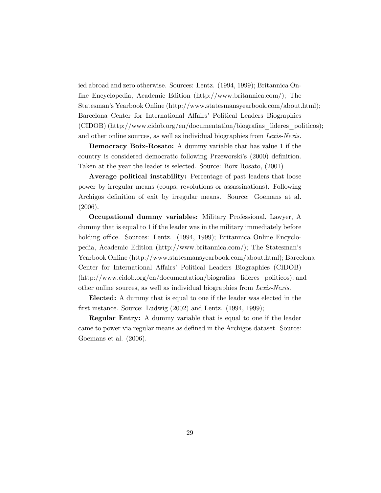ied abroad and zero otherwise. Sources: Lentz. (1994, 1999); Britannica Online Encyclopedia, Academic Edition (http://www.britannica.com/); The Statesmanís Yearbook Online (http://www.statesmansyearbook.com/about.html); Barcelona Center for International Affairs' Political Leaders Biographies  $(CIDOB)$  (http://www.cidob.org/en/documentation/biografias lideres politicos); and other online sources, as well as individual biographies from Lexis-Nexis.

Democracy Boix-Rosato: A dummy variable that has value 1 if the country is considered democratic following Przeworski's (2000) definition. Taken at the year the leader is selected. Source: Boix Rosato, (2001)

Average political instability: Percentage of past leaders that loose power by irregular means (coups, revolutions or assassinations). Following Archigos definition of exit by irregular means. Source: Goemans at al. (2006).

Occupational dummy variables: Military Professional, Lawyer, A dummy that is equal to 1 if the leader was in the military immediately before holding office. Sources: Lentz. (1994, 1999); Britannica Online Encyclopedia, Academic Edition (http://www.britannica.com/); The Statesmanís Yearbook Online (http://www.statesmansyearbook.com/about.html); Barcelona Center for International Affairs' Political Leaders Biographies (CIDOB)  $(\text{http://www.cidob.org/en/documentation/biografias}$  lideres politicos); and other online sources, as well as individual biographies from Lexis-Nexis.

Elected: A dummy that is equal to one if the leader was elected in the first instance. Source: Ludwig  $(2002)$  and Lentz.  $(1994, 1999)$ ;

Regular Entry: A dummy variable that is equal to one if the leader came to power via regular means as defined in the Archigos dataset. Source: Goemans et al. (2006).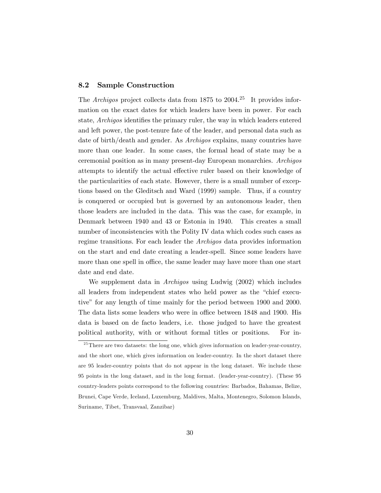#### 8.2 Sample Construction

The Archigos project collects data from 1875 to 2004.<sup>25</sup> It provides information on the exact dates for which leaders have been in power. For each state, *Archigos* identifies the primary ruler, the way in which leaders entered and left power, the post-tenure fate of the leader, and personal data such as date of birth/death and gender. As Archigos explains, many countries have more than one leader. In some cases, the formal head of state may be a ceremonial position as in many present-day European monarchies. Archigos attempts to identify the actual effective ruler based on their knowledge of the particularities of each state. However, there is a small number of exceptions based on the Gleditsch and Ward (1999) sample. Thus, if a country is conquered or occupied but is governed by an autonomous leader, then those leaders are included in the data. This was the case, for example, in Denmark between 1940 and 43 or Estonia in 1940. This creates a small number of inconsistencies with the Polity IV data which codes such cases as regime transitions. For each leader the Archigos data provides information on the start and end date creating a leader-spell. Since some leaders have more than one spell in office, the same leader may have more than one start date and end date.

We supplement data in Archigos using Ludwig (2002) which includes all leaders from independent states who held power as the "chief executiveî for any length of time mainly for the period between 1900 and 2000. The data lists some leaders who were in office between 1848 and 1900. His data is based on de facto leaders, i.e. those judged to have the greatest political authority, with or without formal titles or positions. For in-

 $25$  There are two datasets: the long one, which gives information on leader-year-country, and the short one, which gives information on leader-country. In the short dataset there are 95 leader-country points that do not appear in the long dataset. We include these 95 points in the long dataset, and in the long format. (leader-year-country). (These 95 country-leaders points correspond to the following countries: Barbados, Bahamas, Belize, Brunei, Cape Verde, Iceland, Luxemburg, Maldives, Malta, Montenegro, Solomon Islands, Suriname, Tibet, Transvaal, Zanzibar)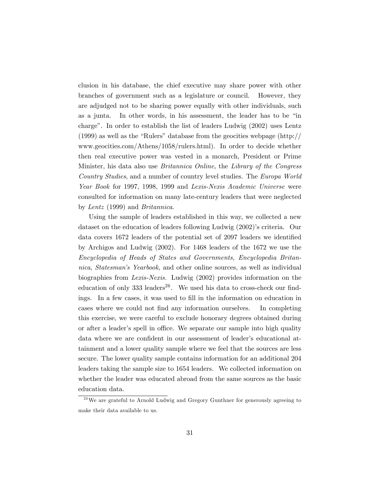clusion in his database, the chief executive may share power with other branches of government such as a legislature or council. However, they are adjudged not to be sharing power equally with other individuals, such as a junta. In other words, in his assessment, the leader has to be "in charge". In order to establish the list of leaders Ludwig  $(2002)$  uses Lentz  $(1999)$  as well as the "Rulers" database from the geocities webpage (http:// www.geocities.com/Athens/1058/rulers.html). In order to decide whether then real executive power was vested in a monarch, President or Prime Minister, his data also use *Britannica Online*, the Library of the Congress Country Studies, and a number of country level studies. The Europa World Year Book for 1997, 1998, 1999 and Lexis-Nexis Academic Universe were consulted for information on many late-century leaders that were neglected by Lentz (1999) and Britannica.

Using the sample of leaders established in this way, we collected a new dataset on the education of leaders following Ludwig (2002)'s criteria. Our data covers 1672 leaders of the potential set of 2097 leaders we identified by Archigos and Ludwig (2002). For 1468 leaders of the 1672 we use the Encyclopedia of Heads of States and Governments, Encyclopedia Britannica, Statesmanís Yearbook, and other online sources, as well as individual biographies from Lexis-Nexis. Ludwig (2002) provides information on the education of only  $333 \text{ leaders}^{26}$ . We used his data to cross-check our findings. In a few cases, it was used to fill in the information on education in cases where we could not Önd any information ourselves. In completing this exercise, we were careful to exclude honorary degrees obtained during or after a leader's spell in office. We separate our sample into high quality data where we are confident in our assessment of leader's educational attainment and a lower quality sample where we feel that the sources are less secure. The lower quality sample contains information for an additional 204 leaders taking the sample size to 1654 leaders. We collected information on whether the leader was educated abroad from the same sources as the basic education data.

 $2<sup>6</sup>$  We are grateful to Arnold Ludwig and Gregory Gunthner for generously agreeing to make their data available to us.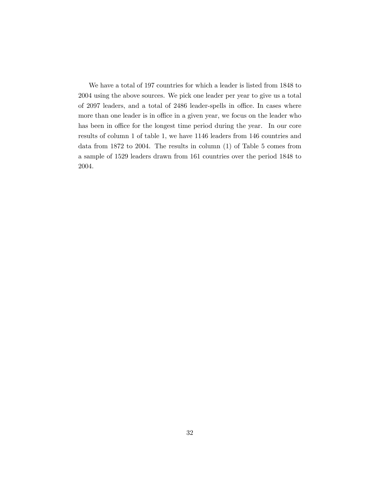We have a total of 197 countries for which a leader is listed from 1848 to 2004 using the above sources. We pick one leader per year to give us a total of 2097 leaders, and a total of 2486 leader-spells in office. In cases where more than one leader is in office in a given year, we focus on the leader who has been in office for the longest time period during the year. In our core results of column 1 of table 1, we have 1146 leaders from 146 countries and data from 1872 to 2004. The results in column (1) of Table 5 comes from a sample of 1529 leaders drawn from 161 countries over the period 1848 to 2004.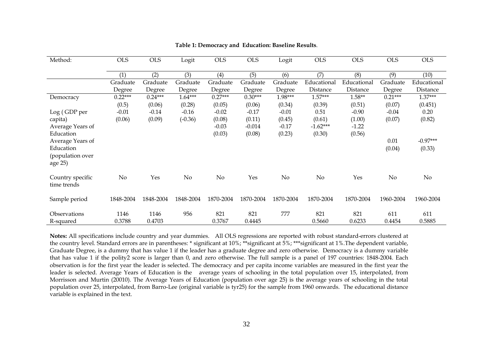| Method:                                                      | <b>OLS</b>         | <b>OLS</b>         | Logit              | <b>OLS</b>                  | <b>OLS</b>                   | Logit                       | <b>OLS</b>                     | <b>OLS</b>                  | <b>OLS</b>         | <b>OLS</b>              |
|--------------------------------------------------------------|--------------------|--------------------|--------------------|-----------------------------|------------------------------|-----------------------------|--------------------------------|-----------------------------|--------------------|-------------------------|
|                                                              | (1)                | (2)                | (3)                | (4)                         | (5)                          | (6)                         | (7)                            | (8)                         | (9)                | (10)                    |
|                                                              | Graduate<br>Degree | Graduate<br>Degree | Graduate<br>Degree | Graduate<br>Degree          | Graduate<br>Degree           | Graduate<br>Degree          | Educational<br>Distance        | Educational<br>Distance     | Graduate<br>Degree | Educational<br>Distance |
| Democracy                                                    | $0.22***$          | $0.24***$          | $1.64***$          | $0.27***$                   | $0.30***$                    | 1.98***                     | $1.57***$                      | $1.58**$                    | $0.21***$          | $1.37***$               |
| Log (GDP per                                                 | (0.5)<br>$-0.01$   | (0.06)<br>$-0.14$  | (0.28)<br>$-0.16$  | (0.05)<br>$-0.02$           | (0.06)<br>$-0.17$            | (0.34)<br>$-0.01$           | (0.39)<br>0.51                 | (0.51)<br>$-0.90$           | (0.07)<br>$-0.04$  | (0.451)<br>0.20         |
| capita)<br>Average Years of<br>Education                     | (0.06)             | (0.09)             | $(-0.36)$          | (0.08)<br>$-0.03$<br>(0.03) | (0.11)<br>$-0.014$<br>(0.08) | (0.45)<br>$-0.17$<br>(0.23) | (0.61)<br>$-1.62***$<br>(0.30) | (1.00)<br>$-1.22$<br>(0.56) | (0.07)             | (0.82)                  |
| Average Years of<br>Education<br>(population over<br>age 25) |                    |                    |                    |                             |                              |                             |                                |                             | 0.01<br>(0.04)     | $-0.97***$<br>(0.33)    |
| Country specific<br>time trends                              | $\rm No$           | Yes                | $\rm No$           | No                          | Yes                          | $\rm No$                    | No                             | Yes                         | $\rm No$           | $\rm No$                |
| Sample period                                                | 1848-2004          | 1848-2004          | 1848-2004          | 1870-2004                   | 1870-2004                    | 1870-2004                   | 1870-2004                      | 1870-2004                   | 1960-2004          | 1960-2004               |
| Observations<br>R-squared                                    | 1146<br>0.3788     | 1146<br>0.4703     | 956                | 821<br>0.3767               | 821<br>0.4445                | 777                         | 821<br>0.5660                  | 821<br>0.6233               | 611<br>0.4454      | 611<br>0.5885           |

#### **Table 1: Democracy and Education: Baseline Results**.

**Notes:** All specifications include country and year dummies. All OLS regressions are reported with robust standard-errors clustered at the country level. Standard errors are in parentheses: \* significant at 10%; \*\*\*significant at 5%; \*\*\*significant at 1%. The dependent variable, Graduate Degree, is a dummy that has value 1 if the leader has a graduate degree and zero otherwise. Democracy is a dummy variable that has value 1 if the polity2 score is larger than 0, and zero otherwise. The full sample is a panel of 197 countries: 1848-2004. Each observation is for the first year the leader is selected. The democracy and per capita income variables are measured in the first year the leader is selected. Average Years of Education is the average years of schooling in the total population over 15, interpolated, from Morrisson and Murtin (20010). The Average Years of Education (population over age 25) is the average years of schooling in the total population over 25, interpolated, from Barro-Lee (original variable is tyr25) for the sample from 1960 onwards. The educational distance variable is explained in the text.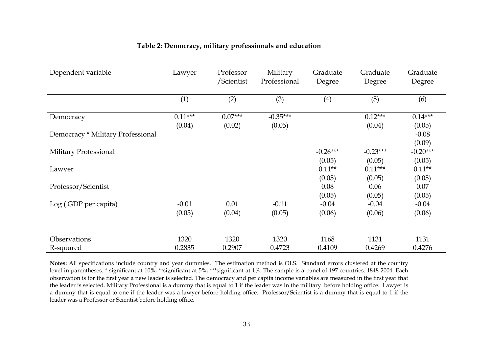| Dependent variable                | Lawyer    | Professor  | Military     | Graduate   | Graduate   | Graduate   |
|-----------------------------------|-----------|------------|--------------|------------|------------|------------|
|                                   |           | /Scientist | Professional | Degree     | Degree     | Degree     |
|                                   |           |            |              |            |            |            |
|                                   | (1)       | (2)        | (3)          | (4)        | (5)        | (6)        |
|                                   | $0.11***$ | $0.07***$  | $-0.35***$   |            | $0.12***$  | $0.14***$  |
| Democracy                         |           |            |              |            |            |            |
|                                   | (0.04)    | (0.02)     | (0.05)       |            | (0.04)     | (0.05)     |
| Democracy * Military Professional |           |            |              |            |            | $-0.08$    |
|                                   |           |            |              |            |            | (0.09)     |
| Military Professional             |           |            |              | $-0.26***$ | $-0.23***$ | $-0.20***$ |
|                                   |           |            |              | (0.05)     | (0.05)     | (0.05)     |
| Lawyer                            |           |            |              | $0.11**$   | $0.11***$  | $0.11**$   |
|                                   |           |            |              | (0.05)     | (0.05)     | (0.05)     |
| Professor/Scientist               |           |            |              | 0.08       | 0.06       | 0.07       |
|                                   |           |            |              | (0.05)     | (0.05)     | (0.05)     |
| Log (GDP per capita)              | $-0.01$   | 0.01       | $-0.11$      | $-0.04$    | $-0.04$    | $-0.04$    |
|                                   | (0.05)    | (0.04)     | (0.05)       | (0.06)     | (0.06)     | (0.06)     |
|                                   |           |            |              |            |            |            |
| Observations                      | 1320      | 1320       | 1320         | 1168       | 1131       | 1131       |
| R-squared                         | 0.2835    | 0.2907     | 0.4723       | 0.4109     | 0.4269     | 0.4276     |

## **Table 2: Democracy, military professionals and education**

**Notes:** All specifications include country and year dummies. The estimation method is OLS. Standard errors clustered at the country level in parentheses. \* significant at 10%; \*\*significant at 5%; \*\*\*significant at 1%. The sample is a panel of 197 countries: 1848-2004. Each observation is for the first year a new leader is selected. The democracy and per capita income variables are measured in the first year that the leader is selected. Military Professional is a dummy that is equal to 1 if the leader was in the military before holding office. Lawyer is a dummy that is equal to one if the leader was a lawyer before holding office. Professor/Scientist is a dummy that is equal to 1 if the leader was a Professor or Scientist before holding office.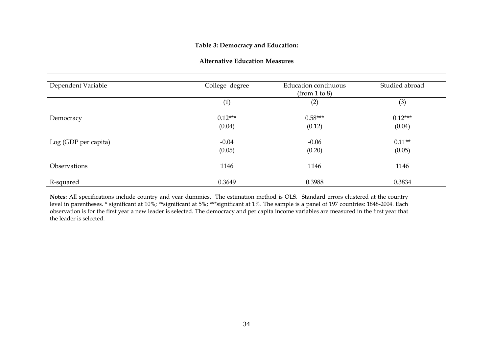### **Table 3: Democracy and Education:**

| <b>Alternative Education Measures</b> |  |
|---------------------------------------|--|
|---------------------------------------|--|

| Dependent Variable   | College degree | <b>Education continuous</b><br>(from 1 to 8) | Studied abroad |
|----------------------|----------------|----------------------------------------------|----------------|
|                      | (1)            | (2)                                          | (3)            |
| Democracy            | $0.12***$      | $0.58***$                                    | $0.12***$      |
|                      | (0.04)         | (0.12)                                       | (0.04)         |
| Log (GDP per capita) | $-0.04$        | $-0.06$                                      | $0.11**$       |
|                      | (0.05)         | (0.20)                                       | (0.05)         |
| Observations         | 1146           | 1146                                         | 1146           |
| R-squared            | 0.3649         | 0.3988                                       | 0.3834         |

**Notes:** All specifications include country and year dummies. The estimation method is OLS. Standard errors clustered at the country level in parentheses. \* significant at 10%; \*\*significant at 5%; \*\*\*significant at 1%. The sample is a panel of 197 countries: 1848-2004. Each observation is for the first year a new leader is selected. The democracy and per capita income variables are measured in the first year that the leader is selected.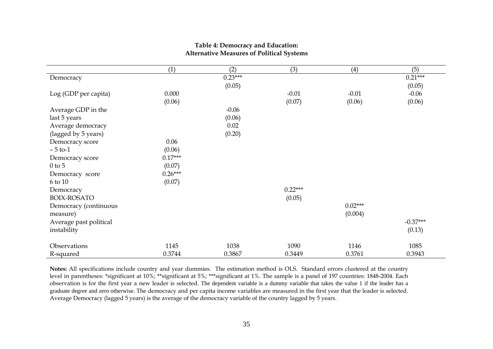|                        | (1)       | (2)       | (3)       | (4)       | (5)        |
|------------------------|-----------|-----------|-----------|-----------|------------|
| Democracy              |           | $0.23***$ |           |           | $0.21***$  |
|                        |           | (0.05)    |           |           | (0.05)     |
| Log (GDP per capita)   | 0.000     |           | $-0.01$   | $-0.01$   | $-0.06$    |
|                        | (0.06)    |           | (0.07)    | (0.06)    | (0.06)     |
| Average GDP in the     |           | $-0.06$   |           |           |            |
| last 5 years           |           | (0.06)    |           |           |            |
| Average democracy      |           | 0.02      |           |           |            |
| (lagged by 5 years)    |           | (0.20)    |           |           |            |
| Democracy score        | 0.06      |           |           |           |            |
| $-5$ to-1              | (0.06)    |           |           |           |            |
| Democracy score        | $0.17***$ |           |           |           |            |
| $0$ to 5               | (0.07)    |           |           |           |            |
| Democracy score        | $0.26***$ |           |           |           |            |
| 6 to 10                | (0.07)    |           |           |           |            |
| Democracy              |           |           | $0.22***$ |           |            |
| <b>BOIX-ROSATO</b>     |           |           | (0.05)    |           |            |
| Democracy (continuous  |           |           |           | $0.02***$ |            |
| measure)               |           |           |           | (0.004)   |            |
| Average past political |           |           |           |           | $-0.37***$ |
| instability            |           |           |           |           | (0.13)     |
| Observations           | 1145      | 1038      | 1090      | 1146      | 1085       |
| R-squared              | 0.3744    | 0.3867    | 0.3449    | 0.3761    | 0.3943     |

#### **Table 4: Democracy and Education: Alternative Measures of Political Systems**

**Notes:** All specifications include country and year dummies. The estimation method is OLS. Standard errors clustered at the country level in parentheses: \*significant at 10%; \*\*significant at 5%; \*\*\*significant at 1%. The sample is a panel of 197 countries: 1848-2004. Each observation is for the first year a new leader is selected. The dependent variable is a dummy variable that takes the value 1 if the leader has a graduate degree and zero otherwise. The democracy and per capita income variables are measured in the first year that the leader is selected. Average Democracy (lagged 5 years) is the average of the democracy variable of the country lagged by 5 years.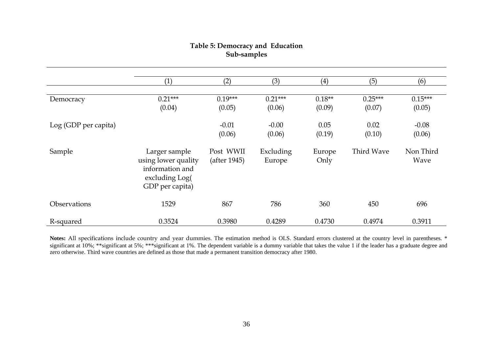# **Table 5: Democracy and Education Sub-samples**

|                      | (1)                                                                                          | (2)                       | (3)                 | (4)            | (5)        | (6)               |
|----------------------|----------------------------------------------------------------------------------------------|---------------------------|---------------------|----------------|------------|-------------------|
|                      |                                                                                              |                           |                     |                |            |                   |
| Democracy            | $0.21***$                                                                                    | $0.19***$                 | $0.21***$           | $0.18**$       | $0.25***$  | $0.15***$         |
|                      | (0.04)                                                                                       | (0.05)                    | (0.06)              | (0.09)         | (0.07)     | (0.05)            |
| Log (GDP per capita) |                                                                                              | $-0.01$                   | $-0.00$             | 0.05           | 0.02       | $-0.08$           |
|                      |                                                                                              | (0.06)                    | (0.06)              | (0.19)         | (0.10)     | (0.06)            |
| Sample               | Larger sample<br>using lower quality<br>information and<br>excluding Log(<br>GDP per capita) | Post WWII<br>(after 1945) | Excluding<br>Europe | Europe<br>Only | Third Wave | Non Third<br>Wave |
| Observations         | 1529                                                                                         | 867                       | 786                 | 360            | 450        | 696               |
| R-squared            | 0.3524                                                                                       | 0.3980                    | 0.4289              | 0.4730         | 0.4974     | 0.3911            |

Notes: All specifications include country and year dummies. The estimation method is OLS. Standard errors clustered at the country level in parentheses. \* significant at 10%; \*\*significant at 5%; \*\*\*significant at 1%. The dependent variable is a dummy variable that takes the value 1 if the leader has a graduate degree and zero otherwise. Third wave countries are defined as those that made a permanent transition democracy after 1980.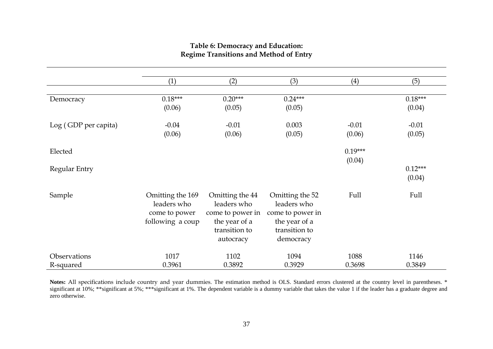## **Table 6: Democracy and Education: Regime Transitions and Method of Entry**

|                      | (1)              | (2)              | (3)              | (4)       | (5)       |  |
|----------------------|------------------|------------------|------------------|-----------|-----------|--|
|                      |                  |                  |                  |           |           |  |
| Democracy            | $0.18***$        | $0.20***$        | $0.24***$        |           | $0.18***$ |  |
|                      | (0.06)           | (0.05)           | (0.05)           |           | (0.04)    |  |
| Log (GDP per capita) | $-0.04$          | $-0.01$          | 0.003            | $-0.01$   | $-0.01$   |  |
|                      | (0.06)           | (0.06)           | (0.05)           | (0.06)    | (0.05)    |  |
| Elected              |                  |                  |                  | $0.19***$ |           |  |
|                      |                  |                  |                  | (0.04)    |           |  |
| Regular Entry        |                  |                  |                  |           | $0.12***$ |  |
|                      |                  |                  |                  |           | (0.04)    |  |
| Sample               | Omitting the 169 | Omitting the 44  | Omitting the 52  | Full      | Full      |  |
|                      | leaders who      | leaders who      | leaders who      |           |           |  |
|                      | come to power    | come to power in | come to power in |           |           |  |
|                      | following a coup | the year of a    | the year of a    |           |           |  |
|                      |                  | transition to    | transition to    |           |           |  |
|                      |                  | autocracy        | democracy        |           |           |  |
| Observations         | 1017             | 1102             | 1094             | 1088      | 1146      |  |
| R-squared            | 0.3961           | 0.3892           | 0.3929           | 0.3698    | 0.3849    |  |

Notes: All specifications include country and year dummies. The estimation method is OLS. Standard errors clustered at the country level in parentheses. \* significant at 10%; \*\*significant at 5%; \*\*\*significant at 1%. The dependent variable is a dummy variable that takes the value 1 if the leader has a graduate degree and zero otherwise.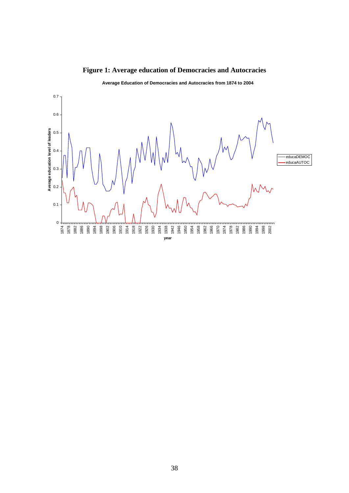

**Figure 1: Average education of Democracies and Autocracies** 

**Average Education of Democracies and Autocracies from 1874 to 2004**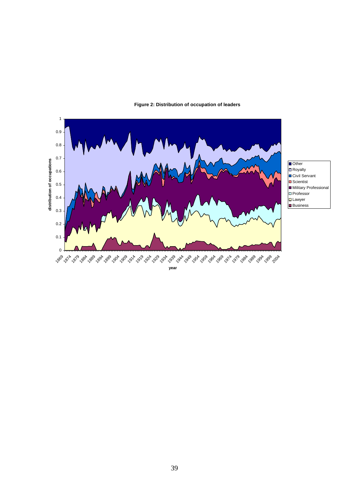

#### **Figure 2: Distribution of occupation of leaders**

**year**

Other  $\Box$ Royalty Civil Servant ■Scientist **Military Professional □** Professor  $\Box$ Lawyer **Business**